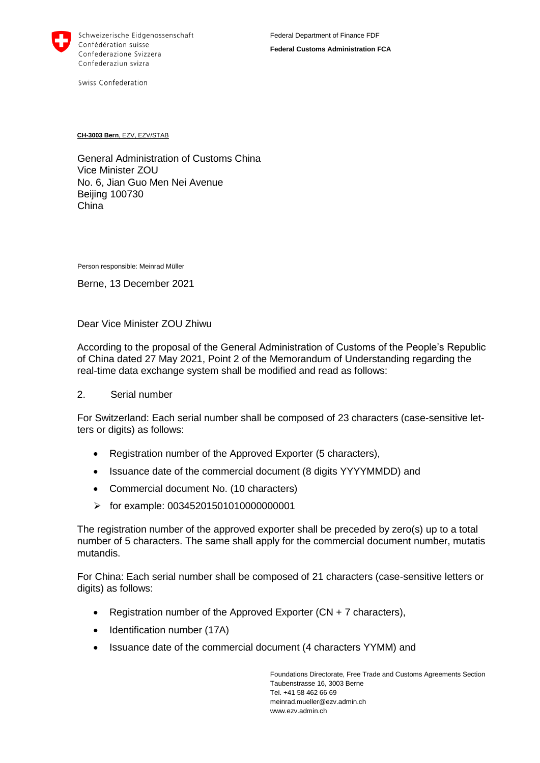

Swiss Confederation

**CH-3003 Bern**, EZV, EZV/STAB

General Administration of Customs China Vice Minister ZOU No. 6, Jian Guo Men Nei Avenue Beijing 100730 China

Person responsible: Meinrad Müller

Berne, 13 December 2021

Dear Vice Minister ZOU Zhiwu

According to the proposal of the General Administration of Customs of the People's Republic of China dated 27 May 2021, Point 2 of the Memorandum of Understanding regarding the real-time data exchange system shall be modified and read as follows:

## 2. Serial number

For Switzerland: Each serial number shall be composed of 23 characters (case-sensitive letters or digits) as follows:

- Registration number of the Approved Exporter (5 characters),
- Issuance date of the commercial document (8 digits YYYYMMDD) and
- Commercial document No. (10 characters)
- $\triangleright$  for example: 003452015010100000000001

The registration number of the approved exporter shall be preceded by zero(s) up to a total number of 5 characters. The same shall apply for the commercial document number, mutatis mutandis.

For China: Each serial number shall be composed of 21 characters (case-sensitive letters or digits) as follows:

- Registration number of the Approved Exporter (CN + 7 characters),
- Identification number (17A)
- Issuance date of the commercial document (4 characters YYMM) and

Foundations Directorate, Free Trade and Customs Agreements Section Taubenstrasse 16, 3003 Berne Tel. +41 58 462 66 69 meinrad.mueller@ezv.admin.ch www.ezv.admin.ch